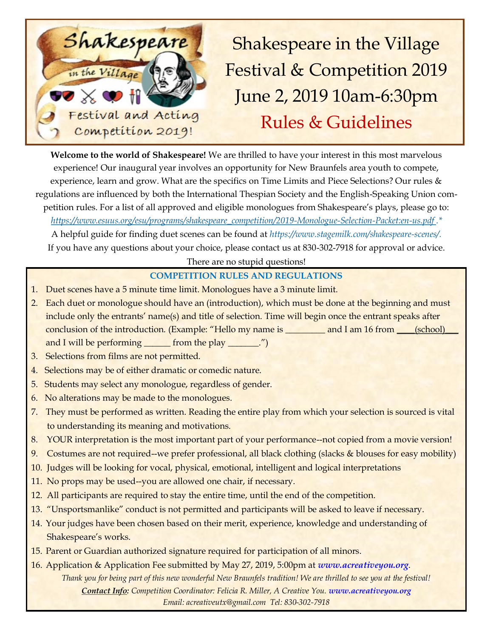

**Welcome to the world of Shakespeare!** We are thrilled to have your interest in this most marvelous experience! Our inaugural year involves an opportunity for New Braunfels area youth to compete, experience, learn and grow. What are the specifics on Time Limits and Piece Selections? Our rules & regulations are influenced by both the International Thespian Society and the English-Speaking Union competition rules. For a list of all approved and eligible monologues from Shakespeare's plays, please go to: *https://www.esuus.org/esu/programs/shakespeare\_competition/2019-Monologue-Selection-Packet:en-us.pdf .\** 

A helpful guide for finding duet scenes can be found at *https://www.stagemilk.com/shakespeare-scenes/.*  If you have any questions about your choice, please contact us at 830-302-7918 for approval or advice.

There are no stupid questions!

## **COMPETITION RULES AND REGULATIONS**

- 1. Duet scenes have a 5 minute time limit. Monologues have a 3 minute limit.
- 2. Each duet or monologue should have an (introduction), which must be done at the beginning and must include only the entrants' name(s) and title of selection. Time will begin once the entrant speaks after conclusion of the introduction. (Example: "Hello my name is \_\_\_\_\_\_\_\_\_ and I am 16 from \_\_\_\_(school) and I will be performing \_\_\_\_\_\_\_ from the play \_\_\_\_\_\_\_.")
- 3. Selections from films are not permitted.
- 4. Selections may be of either dramatic or comedic nature.
- 5. Students may select any monologue, regardless of gender.
- 6. No alterations may be made to the monologues.
- 7. They must be performed as written. Reading the entire play from which your selection is sourced is vital to understanding its meaning and motivations.
- 8. YOUR interpretation is the most important part of your performance--not copied from a movie version!
- 9. Costumes are not required--we prefer professional, all black clothing (slacks & blouses for easy mobility)
- 10. Judges will be looking for vocal, physical, emotional, intelligent and logical interpretations
- 11. No props may be used--you are allowed one chair, if necessary.
- 12. All participants are required to stay the entire time, until the end of the competition.
- 13. "Unsportsmanlike" conduct is not permitted and participants will be asked to leave if necessary.
- 14. Your judges have been chosen based on their merit, experience, knowledge and understanding of Shakespeare's works.
- 15. Parent or Guardian authorized signature required for participation of all minors.
- 16. Application & Application Fee submitted by May 27, 2019, 5:00pm at *www.acreativeyou.org*. *Thank you for being part of this new wonderful New Braunfels tradition! We are thrilled to see you at the festival! Contact Info: Competition Coordinator: Felicia R. Miller, A Creative You. www.acreativeyou.org Email: acreativeutx@gmail.com Tel: 830-302-7918*